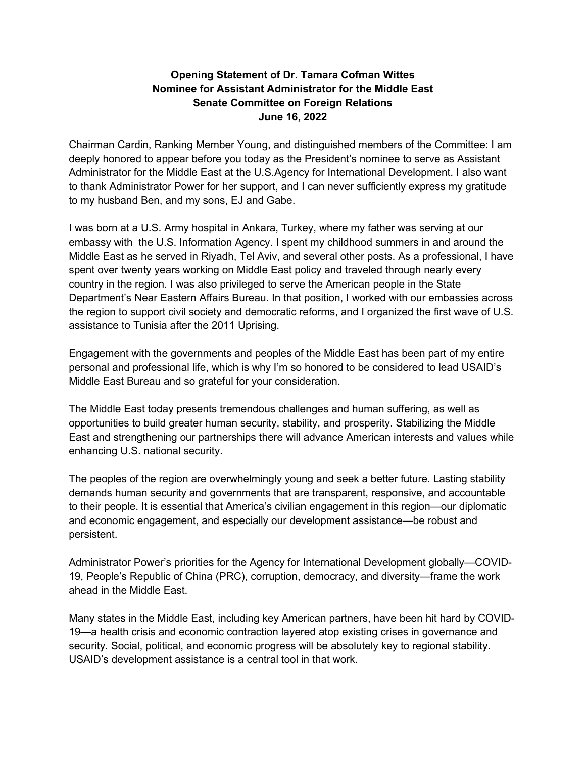## **Opening Statement of Dr. Tamara Cofman Wittes Nominee for Assistant Administrator for the Middle East Senate Committee on Foreign Relations June 16, 2022**

Chairman Cardin, Ranking Member Young, and distinguished members of the Committee: I am deeply honored to appear before you today as the President's nominee to serve as Assistant Administrator for the Middle East at the U.S.Agency for International Development. I also want to thank Administrator Power for her support, and I can never sufficiently express my gratitude to my husband Ben, and my sons, EJ and Gabe.

I was born at a U.S. Army hospital in Ankara, Turkey, where my father was serving at our embassy with the U.S. Information Agency. I spent my childhood summers in and around the Middle East as he served in Riyadh, Tel Aviv, and several other posts. As a professional, I have spent over twenty years working on Middle East policy and traveled through nearly every country in the region. I was also privileged to serve the American people in the State Department's Near Eastern Affairs Bureau. In that position, I worked with our embassies across the region to support civil society and democratic reforms, and I organized the first wave of U.S. assistance to Tunisia after the 2011 Uprising.

Engagement with the governments and peoples of the Middle East has been part of my entire personal and professional life, which is why I'm so honored to be considered to lead USAID's Middle East Bureau and so grateful for your consideration.

The Middle East today presents tremendous challenges and human suffering, as well as opportunities to build greater human security, stability, and prosperity. Stabilizing the Middle East and strengthening our partnerships there will advance American interests and values while enhancing U.S. national security.

The peoples of the region are overwhelmingly young and seek a better future. Lasting stability demands human security and governments that are transparent, responsive, and accountable to their people. It is essential that America's civilian engagement in this region—our diplomatic and economic engagement, and especially our development assistance—be robust and persistent.

Administrator Power's priorities for the Agency for International Development globally—COVID-19, People's Republic of China (PRC), corruption, democracy, and diversity—frame the work ahead in the Middle East.

Many states in the Middle East, including key American partners, have been hit hard by COVID-19—a health crisis and economic contraction layered atop existing crises in governance and security. Social, political, and economic progress will be absolutely key to regional stability. USAID's development assistance is a central tool in that work.